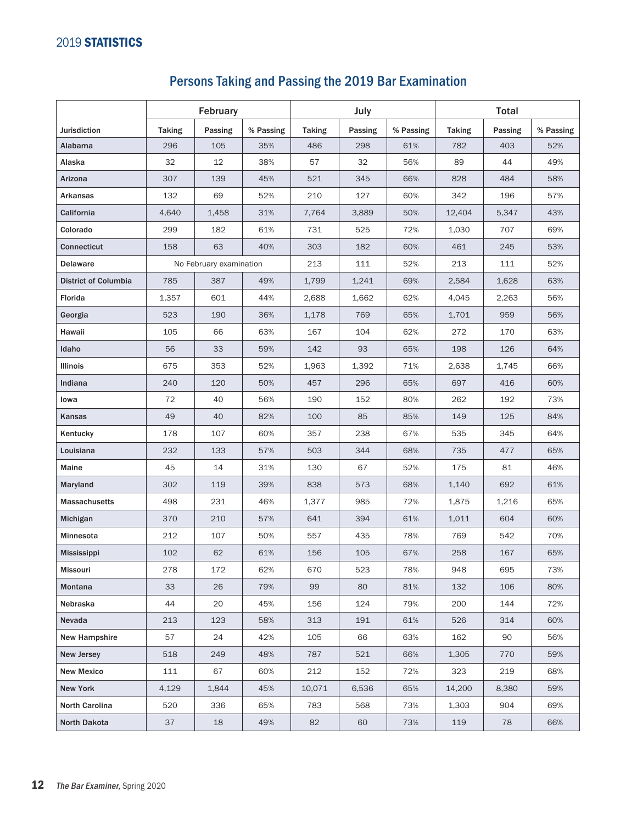## Persons Taking and Passing the 2019 Bar Examination

|                             | February                |         |           | July          |         |           | <b>Total</b>  |         |           |
|-----------------------------|-------------------------|---------|-----------|---------------|---------|-----------|---------------|---------|-----------|
| <b>Jurisdiction</b>         | <b>Taking</b>           | Passing | % Passing | <b>Taking</b> | Passing | % Passing | <b>Taking</b> | Passing | % Passing |
| Alabama                     | 296                     | 105     | 35%       | 486           | 298     | 61%       | 782           | 403     | 52%       |
| Alaska                      | 32                      | 12      | 38%       | 57            | 32      | 56%       | 89            | 44      | 49%       |
| Arizona                     | 307                     | 139     | 45%       | 521           | 345     | 66%       | 828           | 484     | 58%       |
| <b>Arkansas</b>             | 132                     | 69      | 52%       | 210           | 127     | 60%       | 342           | 196     | 57%       |
| California                  | 4,640                   | 1,458   | 31%       | 7,764         | 3,889   | 50%       | 12,404        | 5,347   | 43%       |
| Colorado                    | 299                     | 182     | 61%       | 731           | 525     | 72%       | 1,030         | 707     | 69%       |
| <b>Connecticut</b>          | 158                     | 63      | 40%       | 303           | 182     | 60%       | 461           | 245     | 53%       |
| <b>Delaware</b>             | No February examination |         | 213       | 111           | 52%     | 213       | 111           | 52%     |           |
| <b>District of Columbia</b> | 785                     | 387     | 49%       | 1,799         | 1,241   | 69%       | 2,584         | 1,628   | 63%       |
| Florida                     | 1,357                   | 601     | 44%       | 2,688         | 1,662   | 62%       | 4,045         | 2,263   | 56%       |
| Georgia                     | 523                     | 190     | 36%       | 1,178         | 769     | 65%       | 1,701         | 959     | 56%       |
| Hawaii                      | 105                     | 66      | 63%       | 167           | 104     | 62%       | 272           | 170     | 63%       |
| Idaho                       | 56                      | 33      | 59%       | 142           | 93      | 65%       | 198           | 126     | 64%       |
| Illinois                    | 675                     | 353     | 52%       | 1,963         | 1,392   | 71%       | 2,638         | 1,745   | 66%       |
| Indiana                     | 240                     | 120     | 50%       | 457           | 296     | 65%       | 697           | 416     | 60%       |
| lowa                        | 72                      | 40      | 56%       | 190           | 152     | 80%       | 262           | 192     | 73%       |
| Kansas                      | 49                      | 40      | 82%       | 100           | 85      | 85%       | 149           | 125     | 84%       |
| Kentucky                    | 178                     | 107     | 60%       | 357           | 238     | 67%       | 535           | 345     | 64%       |
| Louisiana                   | 232                     | 133     | 57%       | 503           | 344     | 68%       | 735           | 477     | 65%       |
| Maine                       | 45                      | 14      | 31%       | 130           | 67      | 52%       | 175           | 81      | 46%       |
| Maryland                    | 302                     | 119     | 39%       | 838           | 573     | 68%       | 1,140         | 692     | 61%       |
| <b>Massachusetts</b>        | 498                     | 231     | 46%       | 1,377         | 985     | 72%       | 1,875         | 1,216   | 65%       |
| Michigan                    | 370                     | 210     | 57%       | 641           | 394     | 61%       | 1,011         | 604     | 60%       |
| Minnesota                   | 212                     | 107     | 50%       | 557           | 435     | 78%       | 769           | 542     | 70%       |
| Mississippi                 | 102                     | 62      | 61%       | 156           | 105     | 67%       | 258           | 167     | 65%       |
| Missouri                    | 278                     | 172     | 62%       | 670           | 523     | 78%       | 948           | 695     | 73%       |
| Montana                     | 33                      | 26      | 79%       | 99            | 80      | 81%       | 132           | 106     | 80%       |
| Nebraska                    | 44                      | 20      | 45%       | 156           | 124     | 79%       | 200           | 144     | 72%       |
| Nevada                      | 213                     | 123     | 58%       | 313           | 191     | 61%       | 526           | 314     | 60%       |
| New Hampshire               | 57                      | 24      | 42%       | 105           | 66      | 63%       | 162           | 90      | 56%       |
| <b>New Jersey</b>           | 518                     | 249     | 48%       | 787           | 521     | 66%       | 1,305         | 770     | 59%       |
| <b>New Mexico</b>           | 111                     | 67      | 60%       | 212           | 152     | 72%       | 323           | 219     | 68%       |
| New York                    | 4,129                   | 1,844   | 45%       | 10,071        | 6,536   | 65%       | 14,200        | 8,380   | 59%       |
| North Carolina              | 520                     | 336     | 65%       | 783           | 568     | 73%       | 1,303         | 904     | 69%       |
| North Dakota                | 37                      | 18      | 49%       | 82            | 60      | 73%       | 119           | 78      | 66%       |